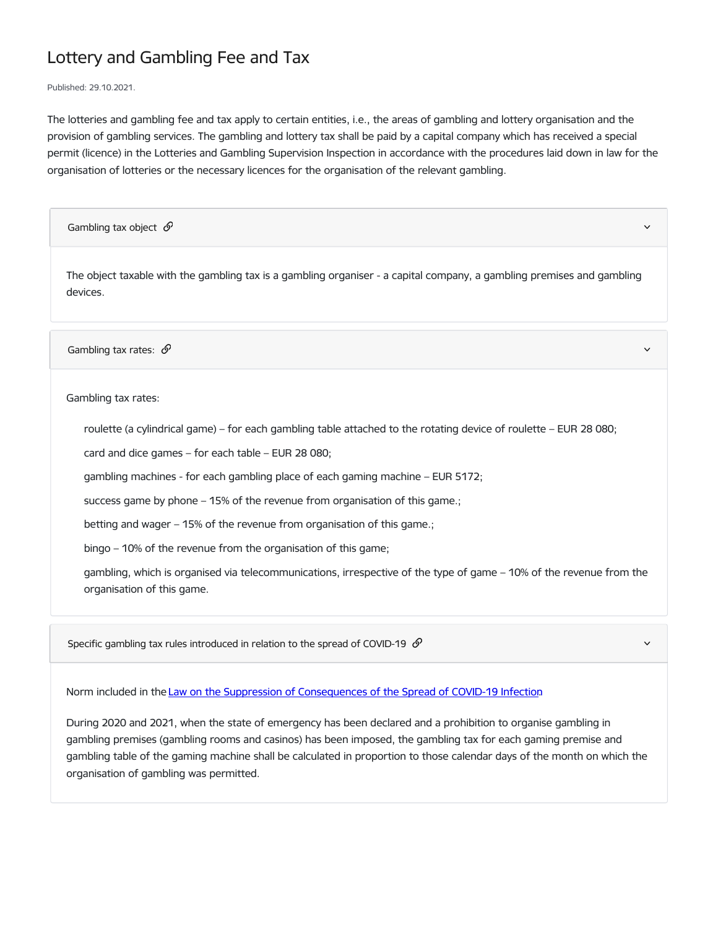## Lottery and Gambling Fee and Tax

Published: 29.10.2021.

The lotteries and gambling fee and tax apply to certain entities, i.e., the areas of gambling and lottery organisation and the provision of gambling services. The gambling and lottery tax shall be paid by a capital company which has received a special permit (licence) in the Lotteries and Gambling Supervision Inspection in accordance with the procedures laid down in law for the organisation of lotteries or the necessary licences for the organisation of the relevant gambling.

Gambling tax object  $\mathcal{O}$ 

The object taxable with the gambling tax is a gambling organiser - a capital company, a gambling premises and gambling devices.

Gambling tax rates:  $\mathcal{S}$ 

Gambling tax rates:

roulette (a cylindrical game) – for each gambling table attached to the rotating device of roulette – EUR 28 080;

card and dice games – for each table – EUR 28 080;

gambling machines - for each gambling place of each gaming machine – EUR 5172;

success game by phone – 15% of the revenue from organisation of this game.;

betting and wager – 15% of the revenue from organisation of this game.;

bingo – 10% of the revenue from the organisation of this game;

gambling, which is organised via telecommunications, irrespective of the type of game – 10% of the revenue from the organisation of this game.

Specific gambling tax rules introduced in relation to the spread of COVID-19  $\mathcal O$ 

Norm included in the Law on the Suppression of [Consequences](https://likumi.lv/ta/en/en/id/315287-law-on-the-suppression-of-consequences-of-the-spread-of-covid-19-infection) of the Spread of COVID-19 Infection.

During 2020 and 2021, when the state of emergency has been declared and a prohibition to organise gambling in gambling premises (gambling rooms and casinos) has been imposed, the gambling tax for each gaming premise and gambling table of the gaming machine shall be calculated in proportion to those calendar days of the month on which the organisation of gambling was permitted.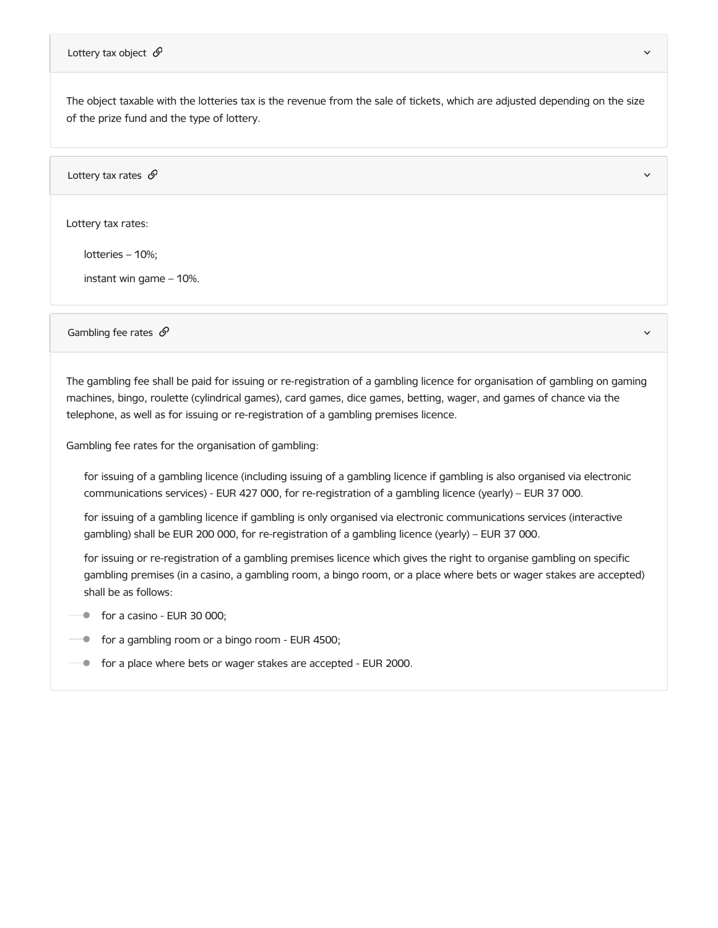The object taxable with the lotteries tax is the revenue from the sale of tickets, which are adjusted depending on the size of the prize fund and the type of lottery.

Lottery tax rates  $\mathcal{S}$ 

Lottery tax rates:

lotteries – 10%;

instant win game – 10%.

Gambling fee rates  $\mathscr S$  and  $\mathscr S$  and  $\mathscr S$  are set of the set of the set of the set of the set of the set of the set of the set of the set of the set of the set of the set of the set of the set of the set of the set

The gambling fee shall be paid for issuing or re-registration of a gambling licence for organisation of gambling on gaming machines, bingo, roulette (cylindrical games), card games, dice games, betting, wager, and games of chance via the telephone, as well as for issuing or re-registration of a gambling premises licence.

Gambling fee rates for the organisation of gambling:

for issuing of a gambling licence (including issuing of a gambling licence if gambling is also organised via electronic communications services) - EUR 427 000, for re-registration of a gambling licence (yearly) – EUR 37 000.

for issuing of a gambling licence if gambling is only organised via electronic communications services (interactive gambling) shall be EUR 200 000, for re-registration of a gambling licence (yearly) – EUR 37 000.

for issuing or re-registration of a gambling premises licence which gives the right to organise gambling on specific gambling premises (in a casino, a gambling room, a bingo room, or a place where bets or wager stakes are accepted) shall be as follows:

- for a casino EUR 30 000;
- **for a gambling room or a bingo room EUR 4500;**
- **for a place where bets or wager stakes are accepted EUR 2000.**